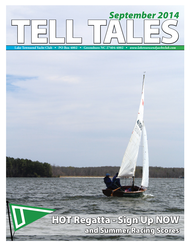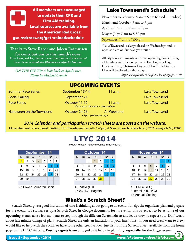

18 Change of Watch Thanks to Steve Raper and Joleen Rasmussen for contributions to this month's news. **A contributions Have ideas, articles, photos or contributions for the newsletter? Send them to** *newsletter@laketownsendyachtclub.com.*

30 31

ON THE COVER: A look back at April's race.<br>
akes will be closed on those days. 10 11 12 13 14 15 16 14 15 16 17 18 19 20 12 13 14 15 16 17 18 *Photo by Michael Crouch*

**Tu M To update their CPK and Suppose And Suppose** November to February: 8 am to 5 pm (closed Thursdays)

September: 7 am to 7:30 pm

 $^*$ Lake Townsend is always closed on Wednesdays and is open at 8 am on Sundays year round.

M Tu W Th F Sa Su M Tu W Th F Sa Su M Tu W Th F Sa Su all holidays with the exception of Thanksgiving Day, 1 2 123456 1234 Christmas Eve, Christmas Day and New Year's Day; the les, photos or contributions for the newsletter? All city lakes will maintain normal operating hours during lakes will be closed on those days.

*http://www.greensboro-nc.gov/index.aspx?page=1319*

| <b>UPCOMING EVENTS</b>    |                                                          |                    |                      |  |  |  |  |  |  |  |  |
|---------------------------|----------------------------------------------------------|--------------------|----------------------|--|--|--|--|--|--|--|--|
| <b>Summer Race Series</b> | September 13-14                                          | $11$ a.m.          | <b>Lake Townsend</b> |  |  |  |  |  |  |  |  |
| <b>Social Sailing</b>     | September 27                                             |                    | <b>Lake Townsend</b> |  |  |  |  |  |  |  |  |
| <b>Race Series</b>        | October 11-12<br>• Sign up at the scratch sheet online • | 11 a.m.            | <b>Lake Townsend</b> |  |  |  |  |  |  |  |  |
| Halloween on the Townsend | October 24-26<br>• Sign up at earlier.org •              | <b>All Weekend</b> | <b>Lake Townsend</b> |  |  |  |  |  |  |  |  |

17 18 19 20 21 22 23 21 22 23 24 25 26 27 19 20 21 22 23 24 25

## **2014 Calendar and participation scratch sheets are posted on the website.**

All members welcome at board meetings: first Thursday each month, 5:45pm, at Greensboro Christian Church, 3232 Yanceyville St., 27405 23 24 25 26 27 28 29 28 29 30 31 25 26 27 28 29 30 31

# **LTYC 2014**

Yellow=Holiday; Gray=Meeting; Blue=Racing;

|    | September '14        |    |                |    |            |    |
|----|----------------------|----|----------------|----|------------|----|
| М  | Tu                   | w  |                |    | Th F Sa Su |    |
| 17 | $\mathbf{2}^{\circ}$ | 3  | $\overline{4}$ | 5  | 6          | 7  |
| 8  | 9                    | 10 | 11             | 12 | 13         | 14 |
| 15 | 16                   | 17 | 18             | 19 | 20         | 21 |
| 22 | 23                   | 24 | 25             | 26 | 27         | 28 |
| 29 | 30                   |    |                |    |            |    |
|    |                      |    |                |    |            |    |

14-15 Governor's Cup

### 27 Power Squadron Social

|    |                          |    | September '14 |    |    |                 |
|----|--------------------------|----|---------------|----|----|-----------------|
| м  | 1u                       | w  | Th            | E  |    | Sa Su           |
|    | 2                        | 3  | 4             | 5  | 6  |                 |
| 8  | 9                        | 10 | -1            | 12 | 13 | $\overline{14}$ |
| 15 | 16                       | 17 | 18            | 19 | 20 | 21              |
| 22 | 23                       | 24 | 25            | 26 | 27 | 28              |
| 29 | 30                       |    |               |    |    |                 |
|    |                          |    |               |    |    |                 |
|    | 27 Power Squadron Social |    |               |    |    |                 |

ended a series and the 25-26 HOT Regatta and the series of the 25-26 HOT Regatta

| November '14 |                |                             |            |           |                |                |  |  |  |  |  |  |  |
|--------------|----------------|-----------------------------|------------|-----------|----------------|----------------|--|--|--|--|--|--|--|
| М            | Tu             | W Th F Sa                   |            |           |                | Su             |  |  |  |  |  |  |  |
|              |                |                             |            |           |                | $\overline{2}$ |  |  |  |  |  |  |  |
| 3            | $\overline{4}$ |                             | $5 \mid 6$ | $\vert$ 7 | 8 <sup>1</sup> | 9              |  |  |  |  |  |  |  |
| 10           |                | $11$   12   13   14   15    |            |           |                | -16            |  |  |  |  |  |  |  |
| 17           |                | 18   19   20   21   22   23 |            |           |                |                |  |  |  |  |  |  |  |
|              |                | 24 25 26 27 28 29 30        |            |           |                |                |  |  |  |  |  |  |  |
|              |                |                             |            |           |                |                |  |  |  |  |  |  |  |

1-2 Fall 48 (FS) 8 Interclub (OHYC) nd Tu Meeting and Tu W Tu Meeting 13 Annual Meeting

24 Jr Makeup

### What's a Scratch Sheet? a series a scratch sheet? The series what's a scratch sheet?

Scratch Sheets give a good indication of who is thinking about going to an event. It helps the organizers plan and prepare for the event. LTYC has set up a Scratch Sheet in Google documents for its events. If you expect to be at some of our upcoming events, take a few moments to step through the different Scratch Sheets and let us know to expect you. Don' worry 31 about last minute change of plans, Scratch Sheets are only an indication of your intentions. If you need crew, want to crew, would like to help with the social, or have some other creative idea, just list it in the Scratch Sheet, available from the home page or the LTYC Website. **Posting regrets is encouraged as it helps in planning, especially for the larger events.** 17 18 19 20 21 March 1701 1710 18 1 March 18 19 20 21 20 21 20 21 20 21 21 22 23 24 25 27 28 20 21 22 23 24 25  $\frac{1}{2}$  and  $\frac{1}{2}$  claired  $\frac{1}{2}$  corresponds to  $\frac{1}{2}$  and  $\frac{1}{2}$  corresponds to  $\frac{1}{2}$  and  $\frac{1}{2}$  $\mathsf{L}_{\mathsf{S}}$   $\mathsf{C}_{\mathsf{S}}$ 

9 10 11 12 13 **14** 15 14 15 16 17 18 19 20 11 12 13 14 15 16 17

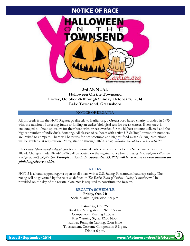## NOTICE OF RACE



## **3rd ANNUAL Halloween On the Townsend Friday, October 24 through Sunday October 26, 2014 Lake Townsend, Greensboro**

### NOTICE OF REGATTA

All proceeds from the HOT Regatta go directly to Earlier.org, a Greensboro based charity founded in 1995 with the mission of directing funds to finding an earlier biological test for breast cancer. Every crew is encouraged to obtain sponsors for their boat; with prizes awarded for the highest amount collected and the highest number of individuals donating. All classes of sailboats with active US Sailing Portsmouth numbers are invited to compete. There will be prizes for best costume and highest fund-raiser. Sailing instructions will be available at registration. Preregistration through 10/20 at *http://earlier.donordrive.com/event/HOT3*. *http://earlier.donordrive.com/event/HOT3.*

Check www.laketownsendyachtclub.com for additional details or amendments to this Notice made prior to 10/24. Changes made 10/24-10/26 will be posted on the regatta notice board. *Preregistered skippers will receive event favors while supplies last.* **Preregistration in by September 25, 2014 will have name of boat printed on pink long sleeve t-shirt.**

### **RULES**

HOT-3 is a handicapped regatta open to all boats with a U.S. Sailing Portsmouth handicap rating. The racing will be governed by the rules as defined in *The Racing Rules of Sailing. Sailing Instructions* will be provided on the day of the regatta. One race is required to constitute the Regatta.

### **REGATTA SCHEDULE**

**Friday, Oct. 24:** Social/Early Registration 6-9 p.m.

### **Saturday, Oct. 25:**

Breakfast & Registration 9-10:15 a.m. Competitors' Meeting 10:35 a.m. First Warning Signal 12:00 Noon Raffles, Pumpkin Carving, Corn Hole Tournament, Costume Competition 5-8 p.m. Dinner 6 p.m.

*3*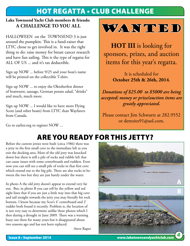# HOT REGATTA • CLUB CHALLENGE

## **Lake Townsend Yacht Club members & friends: A Challenge to you ALL**

HALLOWEEN on the TOWNSEND 3 is just around the pumpkin. This is a fund-raiser that LTYC chose to get involved in. It was the right thing to do: raise money for breast cancer research and have fun sailing. This is the type of regatta for ALL OF US ... and it's tax deductible.

Sign up NOW ... before 9/25 and your boat's name will be printed on the collectible T-shirt.

Sign up NOW ... to enjoy the Oktoberfest dinner of bratwurst, sausage, German potato salad, "drinks" and much, much more.

Sign up NOW ... I would like to have more Flying Scots (and other boats) from LTYC than Wayfarers from Canada.



**HOT III** is looking for sponsors, prizes, and auction items for this year's regatta.

> It is scheduled for **October 25th & 26th, 2014**.

*Donations of \$25.00 to \$5000 are being accepted; money or prize/auction items are greatly appreciated.* 

Please contact Jim Schwartz at 282.9552 or detroito91@aol.com.

Go to earlier.org to register NOW ...

# Are you ready for this Jetty?

Before the current jetties were built (circa 1986) there was a jetty in the first small cove to the immediate left as you exit the docking area. Most of the old jetty was knocked down but there is still a pile of rocks and rubble left that can cause issues with some centerboards and rudders. Even now you can still see a small pile of rocks in that first cove which extend out to the big pile. There are also rocks in between the two but they are just barely under the water.

In photo A the old jetty doesn't appear to extend very far out. But, in photo B you can tell by the yellow and red sight lines that if you are just a little way into that big cove and sail straight towards the jetty you may literally hit rock bottom. I know because my Scot's 4' centerboard and 2' rudder both found it recently. Problem is, the location of is not very easy to determine unlike these photos which I shot during a drought in June 2009. There was a warning buoy out there for many years but it disappeared about two seasons ago and has not been replaced.

-Steve Raper

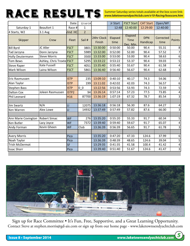# RACE RESULTS

Summer Saturday series totals available at the box score link: *www.laketownsendyachtclub.com/v10-Racing/boxscore.htm*

|                       |                           | Date:       | 12-Jul-14      |                      | Jr Start        | <b>FSCT Start</b>                   | <b>CAT Start</b>       | Open/WF           |                  |
|-----------------------|---------------------------|-------------|----------------|----------------------|-----------------|-------------------------------------|------------------------|-------------------|------------------|
| Saturday-1            | Beaufort 1                | Race #      | $\mathbf{1}$   |                      | 12:48           | 12:40:00                            | 12:29:00               | 12:40:00          |                  |
| 4 Starts, W2          | $3.1$ Avg                 | Vind HC     | $\overline{2}$ |                      |                 |                                     |                        |                   |                  |
| Skipper               | Crew                      | Fleet       | Sail #         | 24hr Clock<br>Finish | Elapsed<br>time | Elapsed<br><b>Time</b><br>Dec. Min. | <b>DPN</b><br>Handicap | Corrected<br>time | Points           |
| <b>Bill Byrd</b>      | JC Aller                  | <b>FSCT</b> | 3801           | 13:30:00             | 0:50:00         | 50.00                               | 90.4                   | 55.31             | 8                |
| Tad Jarzyna           | Donn Jarzyna              | <b>FSCT</b> | 5989           | 13:32:00             | 0:52:00         | 52.00                               | 90.4                   | 57.52             | 7                |
| Holly Deutermann      | <b>Steve Morris</b>       | <b>FSCT</b> | 3500           | 13:33:00             | 0:53:00         | 53.00                               | 90.4                   | 58.63             | $\boldsymbol{6}$ |
| <b>Tom Bews</b>       | Ashley, Chris Troxte FSCT |             | 5295           | 13:33:22             | 0:53:22         | 53.37                               | 90.4                   | 59.03             | 5                |
| <b>Steve Raper</b>    | Kate Fussell              | <b>FSCT</b> | 4051           | 13:35:40             | 0:55:40         | 55.67                               | 90.4                   | 61.58             | 4                |
| Mark Wilson           | Laina Wilson              | <b>FSCT</b> | 5861           | 13:36:40             | 0:56:40         | 56.67                               | 90.4                   | 62.68             | 3                |
|                       |                           |             |                |                      |                 |                                     |                        |                   |                  |
| Eric Rasmussen        |                           | <b>ISTP</b> | 235            | 13:09:10             | 0:40:10         | 40.17                               | 74.3                   | 54.06             | 7                |
| Alan Taylor           |                           | <b>ISTP</b> | 199            | 13:11:02             | 0:42:02         | 42.03                               | 74.3                   | 56.57             | 6                |
| <b>Stephen Bass</b>   |                           | <b>ISTP</b> | 0 <sub>0</sub> | 13:22:56             | 0:53:56         | 53.93                               | 74.3                   | 72.59             | 5                |
| <b>Dalton Cox</b>     | Joleen Rasmussen          | ISTP2       | 94             | 13:26:14             | 0:57:14         | 57.23                               | 77.5                   | 73.85             | $\pmb{4}$        |
| Phil Leonard          |                           | H16         | 87700          | 13:36:19             | 1:07:19         | 67.32                               | 78.7                   | 85.54             | 3                |
|                       |                           |             |                |                      |                 |                                     |                        |                   |                  |
| <b>Jim Swartz</b>     | N/A                       | П           | 12075          | 13:36:18             | 0:56:18         | 56.30                               | 87.6                   | 64.27             | 4                |
| Ken Warren            | Alex Lowe                 | LI          | 14932          | 13:37:49             | 0:57:49         | 57.82                               | 87.6                   | 66.00             | 3                |
|                       |                           |             |                |                      |                 |                                     |                        |                   |                  |
| Ann Marie Covington   | <b>Robert Simac</b>       | <b>WF</b>   | 276            | 13:35:20             | 0:55:20         | 55.33                               | 91.7                   | 60.34             | 5                |
| Ken Butler            | Lacy Joyce                | <b>WF</b>   | 7372           | 13:39:40             | 0:59:40         | 59.67                               | 91.7                   | 65.07             | 4                |
| Andy Forman           | Kevin Gheen               | <b>WF</b>   | Club           | 13:36:39             | 0:56:39         | 56.65                               | 91.7                   | 61.78             | 3                |
|                       |                           |             |                |                      |                 |                                     |                        |                   |                  |
| <b>Avery Morris</b>   |                           | Pico        |                | 13:35:20             | 0:47:20         | 47.33                               | 124.6                  | 37.99             | 6                |
| Noah Taylor           |                           | Pico        |                | 13:36:39             | 0:48:39         | 48.65                               | 124.6                  | 39.04             | 5                |
| <b>Trish McDermot</b> |                           | <b>SF</b>   |                | 13:29:35             | 0:41:35         | 41.58                               | 100.4                  | 41.42             | 4                |
| <b>Issac Shorr</b>    |                           | Pico        |                | 13:39:40             | 0:51:40         | 51.67                               | 124.6                  | 41.47             | 3                |



Sign up for Race Committee • It's Fun, Free, Supportive, and a Great Learning Opportunity. Contact Steve at stephen.morris@gd-ais.com or sign up from our home page - www.laketownsendyachtclub.com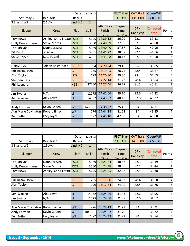|                     |                           | Date:             | 12-Jul-14      |                                     | <b>FSCT Start</b>                   | <b>CAT Start</b>       | Open/WF                  |                         |
|---------------------|---------------------------|-------------------|----------------|-------------------------------------|-------------------------------------|------------------------|--------------------------|-------------------------|
| Saturday-2          | Beaufort 1                | Race #            | $\mathbf{1}$   |                                     | 14:03:00                            | 13:51:00               | 14:03:00                 |                         |
| 3 Starts, W2        | $2.1$ Avg                 | Vind HC           | $\mathbf{1}$   |                                     |                                     |                        |                          |                         |
| Skipper             | Crew                      | Fleet             | Sail #         | 24hr Clock<br>Finish<br><b>Time</b> | Elapsed<br><b>Time</b><br>Dec. Min. | <b>DPN</b><br>Handicap | <b>Corrected</b><br>time | Points                  |
| <b>Tom Bews</b>     | Ashley, Chris Troxte FSCT |                   | 5295           | 14:39:12                            | 36.20                               | 92.1                   | 39.31                    | 7                       |
| Holly Deutermann    | <b>Steve Morris</b>       | <b>FSCT</b>       | 3500           | 14:40:39                            | 37.65                               | 92.1                   | 40.88                    | $\boldsymbol{6}$        |
| Tad Jarzyna         | Donn Jarzyna              | <b>FSCT</b>       | 5989           | 14:40:40                            | 37.67                               | 92.1                   | 40.90                    | $\mathsf S$             |
| <b>Bill Byrd</b>    | JC Aller                  | <b>FSCT</b>       | 3801           | 14:41:22                            | 38.37                               | 92.1                   | 41.66                    | $\sqrt{4}$              |
| <b>Steve Raper</b>  | <b>Kate Fussell</b>       | <b>FSCT</b>       | 4051           | 14:43:08                            | 40.13                               | 92.1                   | 43.58                    | 3                       |
|                     |                           |                   |                |                                     |                                     |                        |                          |                         |
| <b>Dalton Cox</b>   | Joleen Rasmussen          | ISTP <sub>2</sub> | 94             | 14:20:24                            | 29.40                               | 82                     | 35.85                    | $7\vert$                |
| Eric Rasmussen      |                           | <b>ISTP</b>       | 235            | 14:19:45                            | 28.75                               | 78.4                   | 36.67                    | 6                       |
| Alan Taylor         |                           | <b>ISTP</b>       | 199            | 14:20:30                            | 29.50                               | 78.4                   | 37.63                    | 5                       |
| <b>Stephen Bass</b> |                           | <b>ISTP</b>       | 0 <sub>0</sub> | 14:22:14                            | 31.23                               | 78.4                   | 39.84                    | $\sqrt{4}$              |
| Phil Leonard        |                           | H <sub>16</sub>   | 87700          | 14:27:46                            | 36.77                               | 81.5                   | 45.11                    | 3                       |
|                     |                           |                   |                |                                     |                                     |                        |                          |                         |
| <b>Jim Swartz</b>   | N/A                       | $\overline{L}$    | 12075          | 14:42:06                            | 39.10                               | 92.6                   | 42.22                    | $\overline{\mathbf{4}}$ |
| Ken Warren          | Alex Lowe                 | $\overline{L}$    | 14932          | 14:43:07                            | 40.12                               | 92.6                   | 43.32                    | $\overline{3}$          |
|                     |                           |                   |                |                                     |                                     |                        |                          |                         |
| Andy Forman         | Kevin Gheen               | <b>WF</b>         | Club           | 14:38:27                            | 35.45                               | 94                     | 37.71                    | 5                       |
| Ann Marie Covington | <b>Robert Simac</b>       | <b>WF</b>         | 276            | 14:44:13                            | 41.22                               | 94                     | 43.85                    | 4                       |
| Ken Butler          | Lacy Joyce                | <b>WF</b>         | 7372           | 14:45:18                            | 42.30                               | 94                     | 45.00                    | 3                       |
|                     |                           |                   |                |                                     |                                     |                        |                          |                         |
|                     |                           |                   |                |                                     |                                     |                        |                          |                         |

|                         |                           | Date:       | 12-Jul-14        |                                     | <b>FSCT Start</b>                   | <b>CAT Start</b>       | Open/WF           |                         |
|-------------------------|---------------------------|-------------|------------------|-------------------------------------|-------------------------------------|------------------------|-------------------|-------------------------|
| Saturday-3              | Beaufort 1                | Race #      | 1                |                                     | 14:53:00                            | 14:53:00               | 14:53:00          |                         |
| 3 Starts, W2            | $1.5$ Avg                 | Vind HC     | $\mathbf{1}$     |                                     |                                     |                        |                   |                         |
| Skipper                 | Crew                      | Fleet       | Sail #           | 24hr Clock<br>Finish<br><b>Time</b> | Elapsed<br><b>Time</b><br>Dec. Min. | <b>DPN</b><br>Handicap | Corrected<br>time | Points                  |
| Tad Jarzyna             | Donn Jarzyna              | <b>FSCT</b> | 5989             | 15:23:34                            | 30.57                               | 92.1                   | 33.19             | 5                       |
| <b>Holly Deutermann</b> | <b>Steve Morris</b>       | <b>FSCT</b> | 3500             | 15:23:48                            | 30.80                               | 92.1                   | 33.44             | 4                       |
| <b>Tom Bews</b>         | Ashley, Chris Troxte FSCT |             | 5295             | 15:25:35                            | 32.58                               | 92.1                   | 35.38             | $\overline{\mathbf{3}}$ |
|                         |                           |             |                  |                                     |                                     |                        |                   |                         |
| Eric Rasmussen          |                           | <b>ISTP</b> | 235              | 15:17:50                            | 24.83                               | 78.4                   | 31.68             | $\overline{4}$          |
| Alan Taylor             |                           | <b>ISTP</b> | 199 <sup> </sup> | 15:17:54                            | 24.90                               | 78.4                   | 31.76             | $\overline{\mathbf{3}}$ |
|                         |                           |             |                  |                                     |                                     |                        |                   |                         |
| Ken Warren              | Alex Lowe                 | LI          | 14932            | 15:24:26                            | 31.43                               | 92.6                   | 33.95             | $\overline{4}$          |
| <b>Jim Swartz</b>       | N/A                       | LI          | 12075            | 15:24:58                            | 31.97                               | 92.6                   | 34.52             | $\overline{3}$          |
|                         |                           |             |                  |                                     |                                     |                        |                   |                         |
| Ann Marie Covington     | <b>Robert Simac</b>       | <b>WF</b>   | 276              | 15:24:13                            | 31.22                               | 94                     | 33.21             | 5                       |
| Andy Forman             | Kevin Gheen               | <b>WF</b>   | Club             | 15:24:42                            | 31.70                               | 94                     | 33.72             | 4                       |
| Ken Butler              | Lacy Joyce                | <b>WF</b>   | 7372             | 15:24:43                            | 31.72                               | 94                     | 33.74             | $\overline{\mathbf{3}}$ |
|                         |                           |             |                  |                                     |                                     |                        |                   |                         |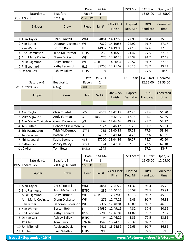|                                 |                                | Date:                  | 13-Jul-14      |            | <b>FSCT Start</b> | <b>CAT Start</b> | Open/WF             |
|---------------------------------|--------------------------------|------------------------|----------------|------------|-------------------|------------------|---------------------|
| Saturday-1                      | <b>Beaufort</b>                | Race #                 | 3              |            |                   | 13:55:00         | 13:55:00            |
| Pos 1 Start                     | 5.2 Avg                        | Vind HC                | $\overline{2}$ |            |                   |                  |                     |
|                                 |                                |                        |                | 24hr Clock | Elapsed           | <b>DPN</b>       | Corrected           |
| Skipper                         | Crew                           | Fleet                  | Sail #         | Finish     | Dec. Min.         | Handicap         | time                |
|                                 |                                |                        |                |            |                   |                  |                     |
|                                 |                                |                        |                |            |                   |                  |                     |
| 1 Alan Taylor                   | <b>Chris Troxtell</b>          | <b>WM</b>              | 4051           | 14:17:56   | 22.93             | 91.4             | 25.09               |
| 2 Ken Butler                    | Deborah Dickerson WF           |                        | 7372           | 14:19:55   | 24.92             | 91.7             | 27.17               |
| 3 Ken Warren                    | <b>Boston Bob</b>              | $\mathsf{L}$           | 14932          | 14:19:08   | 24.13             | 87.6             | 27.55               |
| 4 Eric Rasmussen                | <b>Trish McDermot</b>          | ISTP2                  | 235            | 14:16:25   | 21.42             | 77.5             | 27.63               |
| 5 Ann Marie Covington           | <b>Glenn Dickerson</b>         | WF                     | 276            | 14:20:23   | 25.38             | 91.7             | 27.68               |
| 6 Mike Sigmund                  | Andy Forman                    | WF                     | Club           | 14:20:34   | 25.57             | 91.7             | 27.88               |
| 7 Phil Leonard                  | Kathy Leonard                  | H <sub>16</sub>        | 87700          | 14:21:09   | 26.15             | 78.7             | 33.23               |
| 8 Dalton Cox                    | <b>Ashley Bailey</b>           | ISTP2                  | 94             |            |                   | 77.5             | dnf                 |
|                                 |                                | Date:                  | 13-Jul-14      |            | <b>FSCT Start</b> | <b>CAT Start</b> | Open/WF             |
| Saturday-1                      | Beaufort 1                     | Race #                 | $\overline{2}$ |            |                   | 12:55:00         | 12:55:00            |
| Pos 3 Starts, W2                | 6 Avg                          | Vind HC                | $\overline{2}$ |            |                   |                  |                     |
|                                 |                                |                        |                | 24hr Clock |                   | <b>DPN</b>       | Corrected           |
| Skipper                         | Crew                           | Fleet                  | Sail #         |            | Elapsed           |                  |                     |
|                                 |                                |                        |                | Finish     | Dec. Min.         | Handicap         | time                |
|                                 |                                |                        |                |            |                   |                  |                     |
|                                 |                                |                        |                |            |                   |                  |                     |
| 1 Alan Taylor                   | <b>Chris Troxtell</b>          | <b>WM</b>              | 4051           | 13:42:15   | 47.25             | 91.4             | 51.70               |
| 2 Mike Sigmund                  | Andy Forman                    | WF                     | Club           | 13:42:55   | 47.92             | 91.7             | 52.25               |
| 3 Ann Marie Covington           | Glenn Dickerson                | WF                     | 276            | 13:44:46   | 49.77             | 91.7             |                     |
| 4 Ken Butler                    | Deborah Dickerson              | <b>WF</b>              | 7372           | 13:46:17   | 51.28             | 91.7             | 55.93               |
| 5 Eric Rasmussen                | <b>Trish McDermot</b>          | ISTP2                  | 235            | 13:40:13   | 45.22             | 77.5             | 58.34               |
| 6 Ken Warren                    | <b>Boston Bob</b>              | $\mathsf{L}\mathsf{I}$ | 14932          | 13:49:14   | 54.23             | 87.6             | 61.91               |
| 7 Phil Leonard                  | Kathy Leonard                  | H16                    | 87700          | 13:44:16   | 49.27             | 78.7             | 62.60               |
| 8 Dalton Cox                    | <b>Ashley Bailey</b>           | ISTP2                  | 94             | 13:47:00   | 52.00             | 77.5             | 67.10               |
| 9JC Aller                       | <b>Tom Bews</b>                | <b>TNZ16</b>           | 1543           |            |                   | 97.2             | <b>DNF</b>          |
|                                 |                                |                        |                |            |                   |                  |                     |
|                                 |                                | Date:                  | 13-Jul-14      |            | <b>FSCT Start</b> | <b>CAT Start</b> | Open/WF             |
| Saturday-1                      | Beaufort 1                     | Race #                 | 1              |            |                   | 12:05:00         | 12:05:00            |
| POS 1 Start, W2                 | 7.8 Avg; 16 Gust               | Vind HC                | $\overline{2}$ |            |                   |                  |                     |
| Skipper                         | Crew                           | Fleet                  | Sail #         | 24hr Clock | Elapsed           | <b>DPN</b>       | Corrected           |
|                                 |                                |                        |                | Finish     | Dec. Min.         | Handicap         | time                |
|                                 |                                |                        |                |            |                   |                  |                     |
| 1 Alan Taylor                   | <b>Chris Troxtell</b>          | WМ                     | 4051           | 12:46:22   | 41.37             | 91.4             | 45.26               |
| 2 Eric Rasmussen                | <b>Trish McDermot</b>          | ISTP2                  | 235            | 12:40:35   | 35.58             | 77.5             | 45.91               |
| 3 Mike Sigmund                  | Andy Forman                    | WF                     | Club           | 12:47:08   | 42.13             | 91.7             | 45.95               |
| 4 Ann Marie Covington           | Glenn Dickerson                | WF                     | 276            | 12:47:29   | 42.48             | 91.7             | 46.33               |
| 5 Ken Butler                    | Deborah Dickerson              | WF                     | 7372           | 12:48:04   | 43.07             | 91.7             | 46.96               |
| 6 Ken Warren                    | <b>Boston Bob</b>              | LI.                    | 14932          | 12:49:19   | 44.32             | 87.6             | 50.59               |
| 7 Phil Leonard                  | Kathy Leonard                  | H16                    | 87700          | 12:46:01   | 41.02             | 78.7             | 52.12               |
|                                 | <b>Ashley Bailey</b>           |                        |                |            |                   |                  | 53.35               |
| 8 Dalton Cox                    |                                | ISTP2                  | 94             | 12:46:21   | 41.35             | 77.5             |                     |
| 9JC Aller                       | <b>Tom Bews</b>                | <b>TNZ16</b>           | 1543           | 13:24:19   | 79.32             | 97.2             | 81.60               |
| 10 Jon Mitchell<br>11 Jim Irvin | Addison, Davis<br>Ryan Whitley | WF<br>ISTP2            | 9411<br>999    | 13:24:39   | 79.65             | 91.7<br>77.5     | 86.86<br><b>DNF</b> |
|                                 |                                |                        |                |            |                   |                  |                     |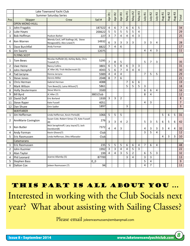|                | Lake Townsend Yacht Club |                                                                    |                |                |                |                         |                |                         |                |                |                |                |        |        |        |                 |
|----------------|--------------------------|--------------------------------------------------------------------|----------------|----------------|----------------|-------------------------|----------------|-------------------------|----------------|----------------|----------------|----------------|--------|--------|--------|-----------------|
|                |                          | <b>Summer Saturday Series</b>                                      |                | Apr-R1         | Apr-R2         | Apr-R3                  | May-R1         | May-R2                  | May-R3         | July-R1        | July-R2        | July-R3        | Aug-R1 | Aug-R2 | Aug-R3 |                 |
| Pos            | Skipper                  | Crew                                                               | Sail #         |                |                |                         |                |                         |                |                |                |                |        |        |        | Total           |
|                | <b>OPEN MONO-HULL</b>    |                                                                    |                |                |                |                         |                |                         |                |                |                |                |        |        |        |                 |
| 1              | John Fragakis            |                                                                    | 187322         | 4              | 6              | $\overline{7}$          | 6              | 6                       | 5              |                |                |                |        |        |        | 34              |
| 2              | Luke Hayes               |                                                                    | 200622         | 5              | 5              | 5                       | 5              | 5                       | $\overline{4}$ |                |                |                |        |        |        | 29              |
| 3              | <b>Bob Hoffman</b>       | Hudson Barker                                                      | 227            | 3              | $\overline{7}$ | $\overline{4}$          | $\overline{4}$ | 4                       | 3              |                |                |                |        |        |        | $\overline{25}$ |
| 4              | Ken Warren               | Wendy Cecil, Jeff Stallings (4), Steve<br>Newgood(5); Alex Lowe(7) | 14932          | 6              | 3              | 3                       | 3              | 3                       |                | 3              | 3              | 4              |        |        |        | 28              |
| 5              | Dave Burchfiel           | Andy Forman                                                        | 8822           | $\overline{7}$ | 4              | 6                       |                |                         |                |                |                |                |        |        |        | 17              |
| 6              | <b>Jim Swartz</b>        |                                                                    | 12075          |                |                |                         |                |                         |                | 4              | 4              | 3              |        |        |        | $11$            |
|                | <b>FLYING SCOT</b>       |                                                                    |                |                |                |                         |                |                         |                |                |                |                |        |        |        |                 |
| 1              | Tom Bews                 | Nicolas Huffeldt (4); Ashley Baily, Chris<br>Troxtell (7)          | 5295           | $\overline{7}$ | 8              | 5                       |                |                         |                | 5              | 7              | 3              |        |        |        | 35              |
| 2              | <b>Uwe Heine</b>         | <b>Nancy Collins</b>                                               | 3801           | 6              | 5              | 8                       | 6              | 3                       | 3              |                |                |                |        |        |        | 31              |
| 3              | John Hemphill            | JC Aller (4); Trish McDermott (5)                                  | 4043           | 5              | 6              | $\overline{7}$          | 4              | $\overline{4}$          | 4              |                |                |                |        |        |        | $\overline{30}$ |
| 4              | Tad Jarzyna              | Donna Jarzyna                                                      | 5989           | $\overline{4}$ | 4              | $\overline{\mathbf{4}}$ |                |                         |                | $\overline{7}$ | 5              | 5              |        |        |        | 29              |
| 5              | <b>Steve Jones</b>       | <b>Dennis Miller</b>                                               | 2048           | 8              | $\overline{7}$ | 6                       |                |                         |                |                |                |                |        |        |        | 21              |
| 6              | Chris Herman             | Gabriel Herman                                                     | 4088           |                |                |                         | 7              | 6                       | 6              |                |                |                |        |        |        | 19              |
| 7              | Mark Wilson              | Tom Bews(5); Laina Wilson(7)                                       | 5861           |                |                |                         | 5              | 5                       | 5              | 3              |                |                |        |        |        | 18              |
| 8              | <b>Holly Deutermann</b>  | <b>Steve Morris</b>                                                | 3500           |                |                |                         |                |                         |                | 6              | 6              | 4              |        |        |        | 16              |
| 9              | <b>Bill Byrd</b>         | JC Aller (7)                                                       | 3801Club       |                |                |                         |                |                         |                | 8              | 4              |                |        |        |        | $\overline{12}$ |
| 10             | David Duff               | <b>Eric Borland</b>                                                | 1939           | 3              | 3              | $\overline{2}$          |                |                         |                |                |                |                |        |        |        | $\overline{8}$  |
| 11             | <b>Steve Raper</b>       | Kate Fussell                                                       | 4051           |                |                |                         |                |                         |                | 4              | 3              |                |        |        |        | $\overline{7}$  |
| 12             | Dan Shuee                | Orin Sadler                                                        | 1897           |                |                |                         | 3              |                         |                |                |                |                |        |        |        | 3               |
|                | <b>WAYFARER</b>          |                                                                    |                |                |                |                         |                |                         |                |                |                |                |        |        |        |                 |
| $\mathbf{1}$   | Jim Heffernan            | Linda Heffernan, Kevin Perks(8)                                    | 1066           | 5              | 5              | 5                       |                |                         |                |                |                |                | 5      | 6      | 5      | 31              |
| 2              | AnnMarie Covington       | Susan Cole; Robert Simac (7); Kate Fussell<br>(8)                  | 276            | 3              | 3              | 4                       | $\overline{2}$ |                         |                | 5              | 3              | 5              | 6      | 5      | 6      | 42              |
| 3              | Ken Butler               | Nick Seraphinoff; Lacy Joyce(7); Jack<br>Davidson(8)               | 7372           | $\overline{4}$ | 4              | 3                       |                |                         |                | 4              | 3              | 3              | 3      | 4      | 4      | 32              |
| 4              | Andy Forman              | Kevin Gheen(7)                                                     | Club           |                |                |                         |                |                         |                | 3              | 5              | 4              |        |        |        | 12              |
| 5              | Eric Rasmussen           | Linda Heffernan, Otto Affanador                                    | Club           |                |                |                         |                |                         |                |                |                |                | 4      | 3      | 3      | 10              |
|                | Catamarans               |                                                                    |                |                |                |                         |                |                         |                |                |                |                |        |        |        |                 |
| 1              | Eric Rasmussen           |                                                                    | 235            | 5              | 5              | 5                       | 6              | 6                       | 4              | $\overline{7}$ | 6              | $\overline{4}$ |        |        |        | 48              |
| $\overline{2}$ | John Kuzmier             |                                                                    | 1992           | 3              | 3              | $\overline{4}$          | 4              | 5                       | 3              |                |                |                |        |        |        | 22              |
| 3              | Alan Taylor              |                                                                    | 199            | $\overline{4}$ | 4              | 3                       | 5              | $\overline{2}$          |                | 6              | 5              | 3              |        |        |        | 32              |
| 4              | Phil Leonard             | Jeanne Allamby (5)                                                 | 87700          |                |                |                         | 3              | $\overline{\mathbf{4}}$ |                | 3              | 3              |                |        |        |        | $\overline{13}$ |
| 5              | <b>Stephen Bass</b>      |                                                                    | 0 <sub>0</sub> |                |                |                         |                |                         |                | 5              | 4              |                |        |        |        | 9               |
| 6              | <b>Dalton Cox</b>        | Joleen Rasmussen (7)                                               | 94             |                |                |                         |                |                         |                | 4              | $\overline{7}$ |                |        |        |        | 11              |

This Part is ALL ABOUT you ... Interested in working with the Club Socials next year? What about assisting with Sailing Classes?

Please email joleenrasmussen@embarqmail.com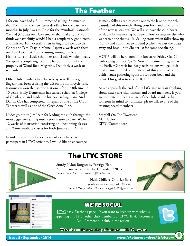# The Feather

I for one have had a full summer of sailing. So much so that I've missed the newsletter deadline for the past two months. In July I was in Ohio for the Windmill Nationals. We had 37 boats on a lake smaller than Lake T, and you think we have shifty winds! I had a couple very good races, and finished 10th overall. Then in August, I went to visit Corky and Pam Gray in Maine. I spent a week with them on their Tartan 34, Lara, cruising among the beautiful islands. Lots of classic schooners and classic wooden boats. We spent a couple nights at the harbor in front of the property of Wood Boat Magazine. Definitely a week to remember.

Other club members have been busy as well. George Bageant has been cruising the US on his motorcycle. Eric Rasmussen won the Isotope Nationals for the 8th time in 10 years. Holly Deuterman has started school at College of Charleston and made the big boat sailing team. And Dalton Cox has completed his repair of one of the Club Tanzers as well as one of the City's Aqua Finns.

Kudos go out to Jim Irvin for leading the club through the most aggressive sailing instruction season to date. We held 12 weeks of instruction consisting of 4 beginning classes and 2 intermediate classes for both Juniors and Adults.

In order to give all of these new sailors a chance to participate in LTYC activities, I would like to encourage

as many folks as can to come out to the lake on the 4th Saturday of this month. Bring your boat and take some of the new sailors out. We will also have the club boats available for mentoring our new sailors, or anyone else who wants to hone their skills. Sailing starts when folks show up (10ish) and continues to around 3 when we put the boats away and head up to Shelter 10 for some socializing.

HOT-3 will be here soon! The fun starts Friday Oct 24 with racing on Oct 25-26. Now is the time to register at the Earlier.Org website. Early registrations will get their boat's name printed on the sleeve of this year's collector's t-shirt. Start gathering sponsors for your boat and the event. Our goal is to raise \$10,000!

As we approach the end of 2014 it's time to start thinking about next year's club officers and board members. If you are interested in being a part of the club board, or have someone in mind to nominate, please talk to one of the existing board members.

See y'all On The Townsend, Alan Taylor LTYC Commodore



# The LTYC STORE

Sturdy Nylon Burgees by Prestige Flag. Approx. size is 12.5" tall by 19" wide. \$20 each. *Contact Steve Morris at: samorris@triad.rr.com*

> Neck Chillers. One size fits all *(useful as a neck warmer, too)*. \$5 each. *Contact Nancy Collins-Heine at: snaggleteeth@gmail.com*





## WE'RE SOCIAL

LTYC has a Facebook page. If you want to keep up with what is happening at LTYC, other club members, or LTYC Trivia, become a Fan. Promote our club in the region.

**We're also on Twitter at https://twitter.com/LTYC\_tweets**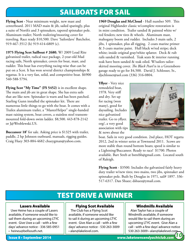# SAILBOATS FOR SAIL

**Flying Scot -** Near minimum weight, new mast and centerboard. 2011 MAD main & jib, sailed sparingly, plus a suite of North's and 3 spinnakers, tapered spinnaker pole. Aluminum trailer; North trailering/mooring cover for traveling. Race ready \$10,500. Dave 'Sailordave' Batchelor, 919-467-3512 (h) 919-414-6809 (c).

**1975 Flying Scot Sailboat # 2680.** W/ 2009 Load Rite galvanized trailer, radical race package, 2-year-old Mad racing sails, North spinnaker, covers for boat, mast, and rudder. This boat has everything racing-wise that can be put on a Scot. It has won several district championships & regattas. It is a very fast, solid, and competitive boat. \$6900 540-588-5794.

**Flying Scot "My Time" (FS 5452)** is in excellent shape. The main and jib are in great shape. She has extra sails that are like new. Spinnaker is warn and has been patched. Starling Gunn installed the spinnaker kit. There are numerous little things to go with the boat. It comes with a Trailex aluminum trailer, a "MasterHelper" single-handed mast raising system, boat covers, a stainless steel transommounted fold-down swim ladder. \$8,500. 443-878-2142 or J@Wroblewski.US.

**Buccaneer 18'** for sale. Asking price is \$1325 with trailer, paddle, 2 hp Johnson outboard, manuals, rigging guides. Craig Huey 303-884-4682 chueygman@yahoo.com.

**1969 Douglas and McCloud** - Hull number 509. This original Highlander classic w/complete restoration is in mint condition. Trailer sanded & painted white w/ red fenders; new tires & wheels. Aluminum mast, mahogany boom and rudder. Includes 3 main sails, 2 jibs, 1 spinnaker, plus all rigging. 2 coats marine primer & 3 coats marine paint. Hull black w/red stripe; deck white; inside original gray/white splatter. Deck & rub rails sanded & varnished. Teak seats & interior running teak have been sanded & teak oiled. W/sailors tailorskirted mooring cover. *The Black Pearl* is in a Greensboro garage ready to go for \$4,500. David J. Schlosser, Sr., djschlosser@aol.com (336) 316-0804.

**Yflyer** - Very nice remodeled boat, 1978. Very stiff and dry. Set up for racing (won many), good for daysailing. Includes nice galvanized trailer. Go to yflyer. org/, a very good association with tips & news about the



boat. Sails in very good condition. 2nd place, HOT regatta 2012, 2nd in winter series at Townsend 2011. Scows are more stable than round bottom boats; speed is similar to a Lightning/Buccaneer. Ready to race! \$1700. Photos available. Bart Streb at bstrebb@gmail.com. Located south of Raleigh.

**Flying Scott** - \$3500. Includes the galvanized fairly heavy duty trailer w/new tires; two mains, two jibs, spinnaker and spinnaker pole. Built by Douglas in 1971, sail# 1897. 336-517-6317. Dan Shuee; dshuee@ymail.com.

# TEST DRIVE A WINNER

### Lasers Available

 Uwe Heine has a couple of Lasers available, if someone would like to sail them during an upcoming LTYC event. Give Uwe a call - with a few days' advance notice - 336 585-0951 • heineu@bellsouth.net.

Flying Scot Available

 The Club has a Flying Scot available, if someone would like to sail it during an upcoming LTYC event. Give Alan a call - with a few days' advance notice - 530 263-3009 • alan@lakelevel.com.

## Windmills Available

 Alan Taylor has a couple of Windmills available, if someone would like to sail them during an upcoming LTYC event. Give Alan a call - with a few days' advance notice 530 263-3009 • alan@lakelevel.com. *10*